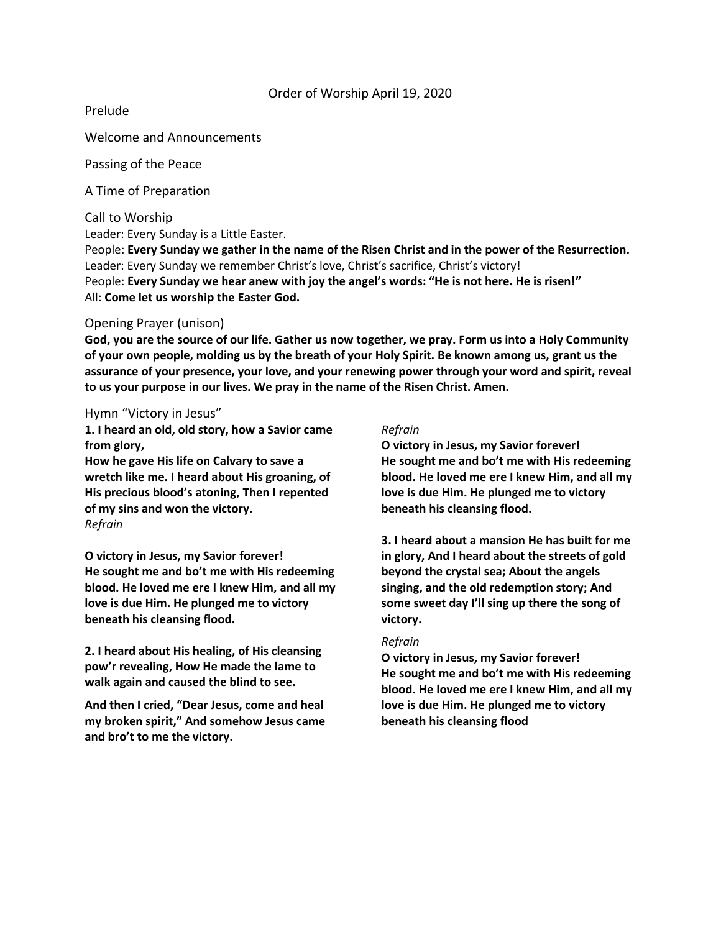## Order of Worship April 19, 2020

Prelude

Welcome and Announcements

Passing of the Peace

A Time of Preparation

Call to Worship

Leader: Every Sunday is a Little Easter.

People: **Every Sunday we gather in the name of the Risen Christ and in the power of the Resurrection.** Leader: Every Sunday we remember Christ's love, Christ's sacrifice, Christ's victory! People: **Every Sunday we hear anew with joy the angel's words: "He is not here. He is risen!"** All: **Come let us worship the Easter God.**

# Opening Prayer (unison)

**God, you are the source of our life. Gather us now together, we pray. Form us into a Holy Community of your own people, molding us by the breath of your Holy Spirit. Be known among us, grant us the assurance of your presence, your love, and your renewing power through your word and spirit, reveal to us your purpose in our lives. We pray in the name of the Risen Christ. Amen.**

## Hymn "Victory in Jesus"

**1. I heard an old, old story, how a Savior came from glory,**

**How he gave His life on Calvary to save a wretch like me. I heard about His groaning, of His precious blood's atoning, Then I repented of my sins and won the victory.** *Refrain*

**O victory in Jesus, my Savior forever! He sought me and bo't me with His redeeming blood. He loved me ere I knew Him, and all my love is due Him. He plunged me to victory beneath his cleansing flood.**

**2. I heard about His healing, of His cleansing pow'r revealing, How He made the lame to walk again and caused the blind to see.**

**And then I cried, "Dear Jesus, come and heal my broken spirit," And somehow Jesus came and bro't to me the victory.**

## *Refrain*

**O victory in Jesus, my Savior forever! He sought me and bo't me with His redeeming blood. He loved me ere I knew Him, and all my love is due Him. He plunged me to victory beneath his cleansing flood.**

**3. I heard about a mansion He has built for me in glory, And I heard about the streets of gold beyond the crystal sea; About the angels singing, and the old redemption story; And some sweet day I'll sing up there the song of victory.**

# *Refrain*

**O victory in Jesus, my Savior forever! He sought me and bo't me with His redeeming blood. He loved me ere I knew Him, and all my love is due Him. He plunged me to victory beneath his cleansing flood**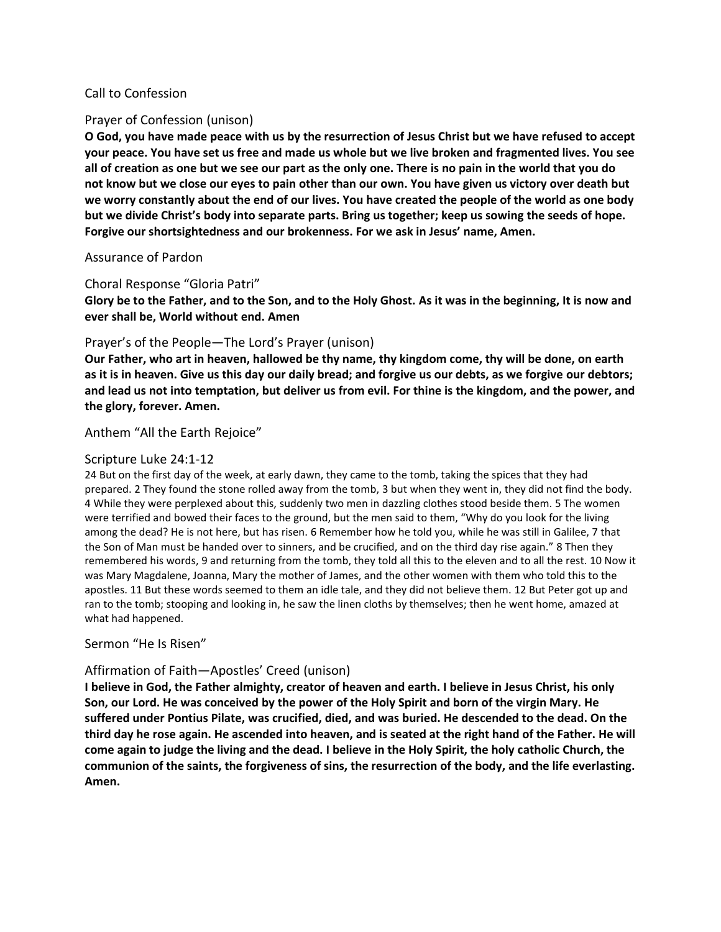## Call to Confession

## Prayer of Confession (unison)

**O God, you have made peace with us by the resurrection of Jesus Christ but we have refused to accept your peace. You have set us free and made us whole but we live broken and fragmented lives. You see all of creation as one but we see our part as the only one. There is no pain in the world that you do** not know but we close our eyes to pain other than our own. You have given us victory over death but **we worry constantly about the end of our lives. You have created the people of the world as one body but we divide Christ's body into separate parts. Bring us together; keep us sowing the seeds of hope. Forgive our shortsightedness and our brokenness. For we ask in Jesus' name, Amen.**

## Assurance of Pardon

## Choral Response "Gloria Patri"

**Glory be to the Father, and to the Son, and to the Holy Ghost. As it was in the beginning, It is now and ever shall be, World without end. Amen**

## Prayer's of the People—The Lord's Prayer (unison)

**Our Father, who art in heaven, hallowed be thy name, thy kingdom come, thy will be done, on earth as it is in heaven. Give us this day our daily bread; and forgive us our debts, as we forgive our debtors; and lead us not into temptation, but deliver us from evil. For thine is the kingdom, and the power, and the glory, forever. Amen.**

## Anthem "All the Earth Rejoice"

## Scripture Luke 24:1-12

24 But on the first day of the week, at early dawn, they came to the tomb, taking the spices that they had prepared. 2 They found the stone rolled away from the tomb, 3 but when they went in, they did not find the body. 4 While they were perplexed about this, suddenly two men in dazzling clothes stood beside them. 5 The women were terrified and bowed their faces to the ground, but the men said to them, "Why do you look for the living among the dead? He is not here, but has risen. 6 Remember how he told you, while he was still in Galilee, 7 that the Son of Man must be handed over to sinners, and be crucified, and on the third day rise again." 8 Then they remembered his words, 9 and returning from the tomb, they told all this to the eleven and to all the rest. 10 Now it was Mary Magdalene, Joanna, Mary the mother of James, and the other women with them who told this to the apostles. 11 But these words seemed to them an idle tale, and they did not believe them. 12 But Peter got up and ran to the tomb; stooping and looking in, he saw the linen cloths by themselves; then he went home, amazed at what had happened.

## Sermon "He Is Risen"

# Affirmation of Faith—Apostles' Creed (unison)

**I believe in God, the Father almighty, creator of heaven and earth. I believe in Jesus Christ, his only Son, our Lord. He was conceived by the power of the Holy Spirit and born of the virgin Mary. He suffered under Pontius Pilate, was crucified, died, and was buried. He descended to the dead. On the third day he rose again. He ascended into heaven, and is seated at the right hand of the Father. He will come again to judge the living and the dead. I believe in the Holy Spirit, the holy catholic Church, the communion of the saints, the forgiveness of sins, the resurrection of the body, and the life everlasting. Amen.**